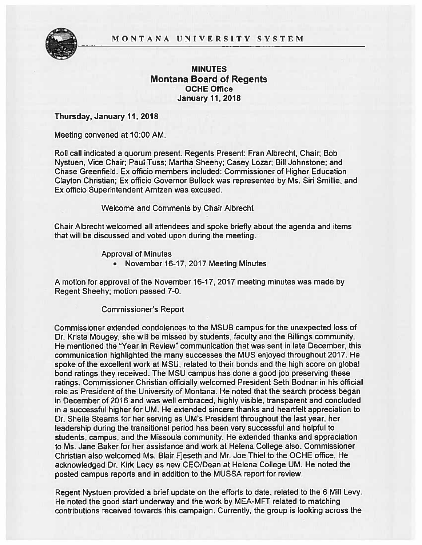### MONTANA UNIVERSITY SYSTEM



# MINUTES Montana Board of Regents OCHE Office **January 11, 2018**

Thursday, January 11,2018

Meeting convened at 10:00AM.

Roll call indicated <sup>a</sup> quorum present. Regents Present: Fran Albrecht, Chair; Bob Nystuen, Vice Chair; Paul Tuss; Martha Sheehy; Casey Lozar; Bill Johnstone; and Chase Greenfield. Ex officio members included: Commissioner of Higher Education Clayton Christian; Ex officio Governor Bullock was represented by Ms. Siri Smillie, and Ex officio Superintendent Arntzen was excused.

Welcome and Comments by Chair Albrecht

Chair Albrecht welcomed all attendees and spoke briefly about the agenda and items that will be discussed and voted upon during the meeting.

Approval of Minutes

• November 16-17, 2017 Meeting Minutes

A motion for approval of the November 16-17, 2017 meeting minutes was made by Regent Sheehy; motion passed 7-0.

Commissioner's Report

Commissioner extended condolences to the MSUB campus for the unexpected loss of Dr. Krista Mougey, she will be missed by students, faculty and the Billings community. He mentioned the "Year in Review" communication that was sent in late December, this communication highlighted the many successes the MUS enjoyed throughout 2017. He spoke of the excellent work at MSU, related to their bonds and the high score on global bond ratings they received. The MSU campus has done <sup>a</sup> good job preserving these ratings. Commissioner Christian officially welcomed President Seth Bodnar in his official role as President of the University of Montana. He noted that the search process began in December of 2016 and was well embraced, highly visible, transparent and concluded in <sup>a</sup> successful higher for UM. He extended sincere thanks and heartfelt appreciation to Dr. Sheila Stearns for her serving as UM's President throughout the last year, her leadership during the transitional period has been very successful and helpful to students, campus, and the Missoula community. He extended thanks and appreciation to Ms. Jane Baker for her assistance and work at Helena College also. Commissioner Christian also welcomed Ms. Blair Fjeseth and Mr. Joe Thiel to the OCHE office. He acknowledged Dr. Kirk Lacy as new CEO/Dean at Helena College UM. He noted the posted campus reports and in addition to the MUSSA repor<sup>t</sup> for review.

Regent Nystuen provided <sup>a</sup> brief update on the efforts to date, related to the <sup>6</sup> Miii Levy. He noted the good start underway and the work by MEA-MFT related to matching contributions received towards this campaign. Currently, the group is looking across the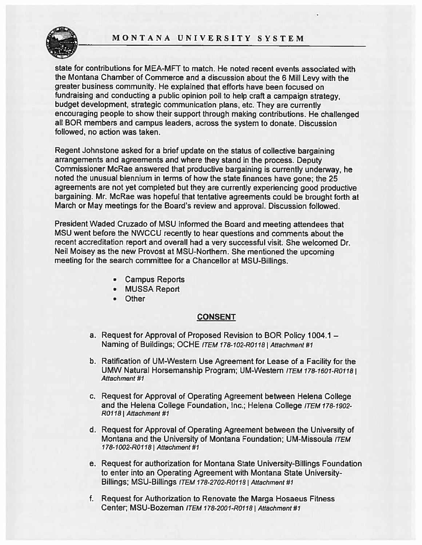## MONTANA UNIVERSITY SYSTEM



state for contributions for MEA-MFT to match. He noted recent events associated with the Montana Chamber of Commerce and <sup>a</sup> discussion about the <sup>6</sup> Mill Levy with the greater business community. He explained that efforts have been focused on fundraising and conducting <sup>a</sup> public opinion poll to help craft <sup>a</sup> campaign strategy, budget development, strategic communication <sup>p</sup>lans, etc. They are currently encouraging people to show their suppor<sup>t</sup> through making contributions. He challenged all BOR members and campus leaders, across the system to donate. Discussion followed, no action was taken.

Regent Johnstone asked for <sup>a</sup> brief update on the status of collective bargaining arrangements and agreements and where they stand in the process. Deputy Commissioner McRae answered that productive bargaining is currently underway, he noted the unusual biennium in terms of how the state finances have gone; the <sup>25</sup> agreements are not ye<sup>t</sup> completed but they are currently experiencing good productive bargaining. Mr. McRae was hopeful that tentative agreements could be brought forth at March or May meetings for the Board's review and approval. Discussion followed.

President Waded Cruzado of MSU informed the Board and meeting attendees that MSU went before the NWCCU recently to hear questions and comments about the recent accreditation repor<sup>t</sup> and overall had <sup>a</sup> very successful visit. She welcomed Dr. Neil Moisey as the new Provost at MSU-Northern. She mentioned the upcoming meeting for the search committee for <sup>a</sup> Chancellor at MSU-Billings.

- Campus Reports
- MUSSA Report
- Other

#### CONSENT

- a. Request for Approval of Proposed Revision to BOR Policy 1004.1 Naming of Buildings; OCHE ITEM 178-102-R0118 | Attachment #1
- b. Ratification of UM-Western Use Agreement for Lease of <sup>a</sup> Facility for the UMW Natural Horsemanship Program; UM-Western ITEM 178-1601-R0118 I Attachment #1
- c. Request for Approval of Operating Agreement between Helena College and the Helena College Foundation, Inc.; Helena College ITEM 178-1902-R0118 I Attachment #1
- d. Request for Approval of Operating Agreement between the University of Montana and the University of Montana Foundation; UM-Missoula ITEM 178-1002-R0118 | Attachment #1
- e. Request for authorization for Montana State University-Billings Foundation to enter into an Operating Agreement with Montana State University-Billings; MSU-Billings ITEM 178-2702-R0118 | Attachment #1
- f. Request for Authorization to Renovate the Marga Hosaeus Fitness Center; MSU-Bozeman ITEM 178-2001-R0118 | Attachment #1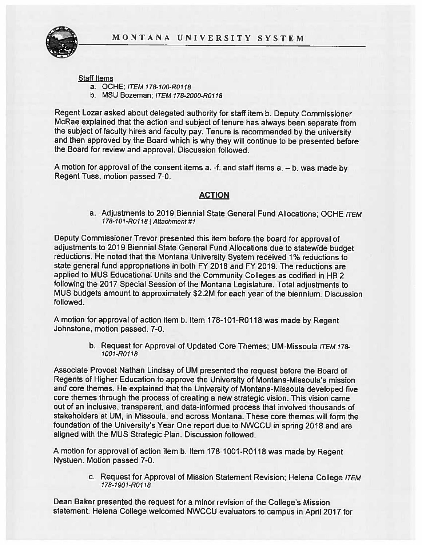

Staff Items

- a. OCHE; ITEM 178-l00-R0118
- b. MSU Bozeman; ITEM 178-2000-R0118

Regent Lozar asked about delegated authority for staff item b. Deputy Commissioner McRae explained that the action and subject of tenure has always been separate from the subject of faculty hires and faculty pay. Tenure is recommended by the university and then approve<sup>d</sup> by the Board which is why they will continue to be presented before the Board for review and approval. Discussion followed.

<sup>A</sup> motion for approva<sup>l</sup> of the consent items a. -f. and staff items a. — b. was made by Regent Tuss, motion passed 7-0.

# ACTION

a. Adjustments to 2019 Biennial State General Fund Allocations; OCHE ITEM 178-101-R0118 | Attachment #1

Deputy Commissioner Trevor presented this item before the board for approva<sup>l</sup> of adjustments to <sup>2019</sup> Biennial State General Fund Allocations due to statewide budget reductions. He noted that the Montana University System received 1% reductions to state general fund appropriations in both FY 2018 and FY 2019. The reductions are applied to MUS Educational Units and the Community Colleges as codified in HB <sup>2</sup> following the <sup>2017</sup> Special Session of the Montana Legislature. Total adjustments to MUS budgets amount to approximately \$2.2M for each year of the biennium. Discussion followed.

A motion for approval of action item b. Item 178-101-R0118 was made by Regent Johnstone, motion passed. 7-0.

> b. Request for Approval of Updated Core Themes; UM-Missoula ITEM 178-1001-Rolls

Associate Provost Nathan Lindsay of UM presented the reques<sup>t</sup> before the Board of Regents of Higher Education to approve the University of Montana-Missoula's mission and core themes. He explained that the University of Montana-Missoula developed five core themes through the process of creating <sup>a</sup> new strategic vision. This vision came out of an inclusive, transparent, and data-informed process that involved thousands of stakeholders at UM, in Missoula, and across Montana. These core themes will form the foundation of the University's Year One repor<sup>t</sup> due to NWCCU in spring 2018 and are aligned with the MUS Strategic Plan. Discussion followed.

<sup>A</sup> motion for approva<sup>l</sup> of action item b. Item 178-1001 -ROl <sup>18</sup> was made by Regent Nystuen. Motion passed 7-0.

> c. Request for Approval of Mission Statement Revision; Helena College ITEM 178-lgol-R0118

Dean Baker presented the reques<sup>t</sup> for <sup>a</sup> minor revision of the College's Mission statement, Helena College welcomed NWCCU evaluators to campus in April <sup>2017</sup> for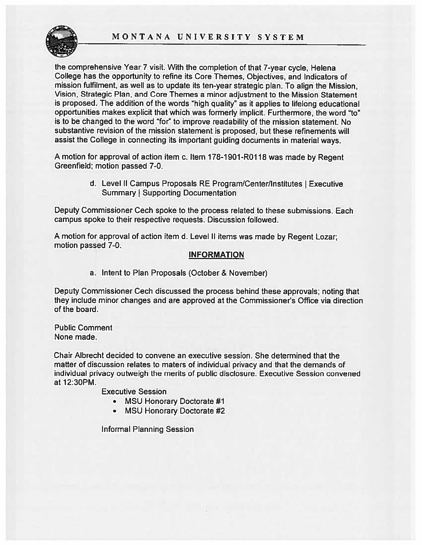## MONTANA UNIVERSITY SYSTEM



the comprehensive Year <sup>7</sup> visit. With the completion of that 7-year cycle, Helena College has the opportunity to refine its Core Themes, Objectives, and Indicators of mission fulfilment, as well as to update its ten-year strategic <sup>p</sup>lan. To align the Mission, Vision, Strategic Plan, and Core Themes <sup>a</sup> minor adjustment to the Mission Statement is proposed. The addition of the words "high quality" as it applies to lifelong educational opportunities makes explicit that which was formerly implicit. Furthermore, the word "to" is to be changed to the word "for" to improve readability of the mission statement. No substantive revision of the mission statement is proposed, but these refinements will assist the College in connecting its important guiding documents in material ways.

<sup>A</sup> motion for approva<sup>l</sup> of action item c. Item 178-1901-R0118 was made by Regent Greenfield; motion passed 7-0.

> d. Level II Campus Proposals RE Program/Center/Institutes I Executive Summary | Supporting Documentation

Deputy Commissioner Cech spoke to the process related to these submissions. Each campus spoke to their respective requests. Discussion followed.

<sup>A</sup> motion for approva<sup>l</sup> of action item d. Level II items was made by Regent Lozar; motion passed 7-0.

### INFORMATION

a. Intent to Plan Proposals (October & November)

Deputy Commissioner Cech discussed the process behind these approvals; noting that they include minor changes and are approved at the Commissioner's Office via direction of the board.

Public Comment None made.

Chair Albrecht decided to convene an executive session. She determined that the matter of discussion relates to maters of individual privacy and that the demands of individual privacy outweigh the merits of public disclosure. Executive Session convened at 12:30PM.

Executive Session

- MSU Honorary Doctorate #1
- •MSU Honorary Doctorate #2

Informal Planning Session